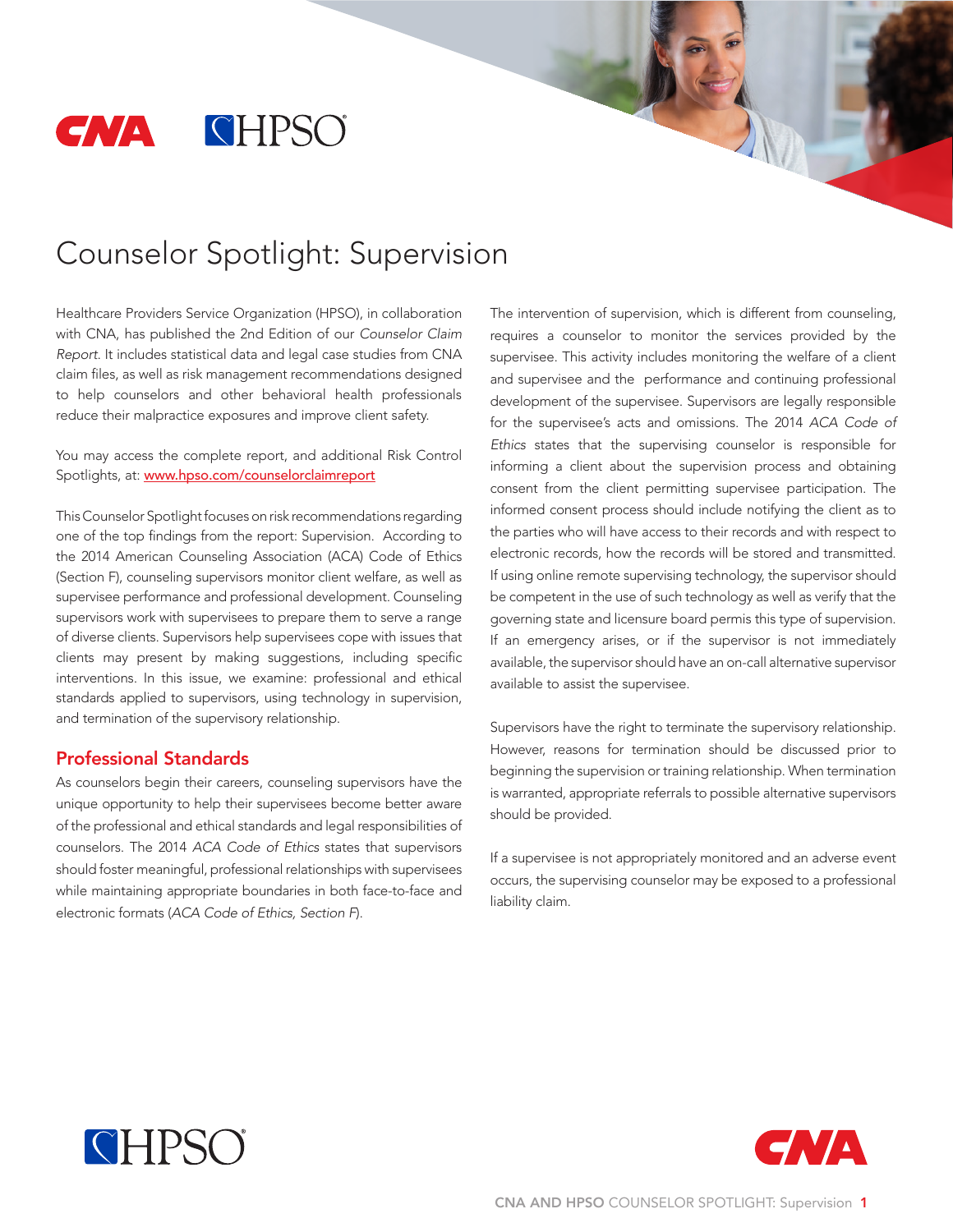

# Counselor Spotlight: Supervision

Healthcare Providers Service Organization (HPSO), in collaboration with CNA, has published the 2nd Edition of our *Counselor Claim Report*. It includes statistical data and legal case studies from CNA claim files, as well as risk management recommendations designed to help counselors and other behavioral health professionals reduce their malpractice exposures and improve client safety.

You may access the complete report, and additional Risk Control Spotlights, at: www.hpso.com/counselorclaimreport

This Counselor Spotlight focuses on risk recommendations regarding one of the top findings from the report: Supervision. According to the 2014 American Counseling Association (ACA) Code of Ethics (Section F), counseling supervisors monitor client welfare, as well as supervisee performance and professional development. Counseling supervisors work with supervisees to prepare them to serve a range of diverse clients. Supervisors help supervisees cope with issues that clients may present by making suggestions, including specific interventions. In this issue, we examine: professional and ethical standards applied to supervisors, using technology in supervision, and termination of the supervisory relationship.

#### Professional Standards

As counselors begin their careers, counseling supervisors have the unique opportunity to help their supervisees become better aware of the professional and ethical standards and legal responsibilities of counselors. The 2014 *ACA Code of Ethics* states that supervisors should foster meaningful, professional relationships with supervisees while maintaining appropriate boundaries in both face-to-face and electronic formats (*ACA Code of Ethics, Section F*).

The intervention of supervision, which is different from counseling, requires a counselor to monitor the services provided by the supervisee. This activity includes monitoring the welfare of a client and supervisee and the performance and continuing professional development of the supervisee. Supervisors are legally responsible for the supervisee's acts and omissions. The 2014 *ACA Code of Ethics* states that the supervising counselor is responsible for informing a client about the supervision process and obtaining consent from the client permitting supervisee participation. The informed consent process should include notifying the client as to the parties who will have access to their records and with respect to electronic records, how the records will be stored and transmitted. If using online remote supervising technology, the supervisor should be competent in the use of such technology as well as verify that the governing state and licensure board permis this type of supervision. If an emergency arises, or if the supervisor is not immediately available, the supervisor should have an on-call alternative supervisor available to assist the supervisee.

Supervisors have the right to terminate the supervisory relationship. However, reasons for termination should be discussed prior to beginning the supervision or training relationship. When termination is warranted, appropriate referrals to possible alternative supervisors should be provided.

If a supervisee is not appropriately monitored and an adverse event occurs, the supervising counselor may be exposed to a professional liability claim.



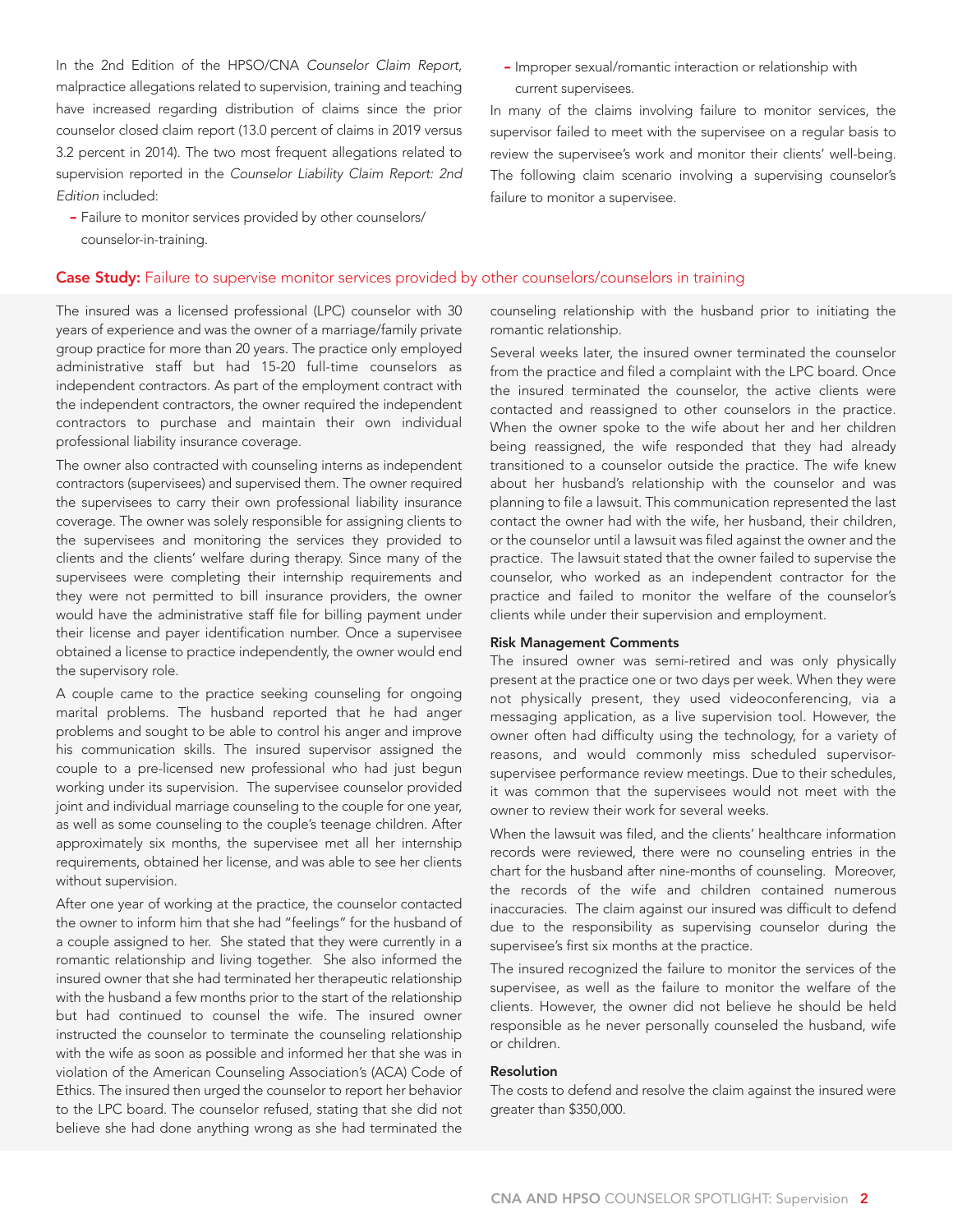In the 2nd Edition of the HPSO/CNA *Counselor Claim Report,*  malpractice allegations related to supervision, training and teaching have increased regarding distribution of claims since the prior counselor closed claim report (13.0 percent of claims in 2019 versus 3.2 percent in 2014). The two most frequent allegations related to supervision reported in the *Counselor Liability Claim Report: 2nd Edition* included:

- Failure to monitor services provided by other counselors/ counselor-in-training.

### - Improper sexual/romantic interaction or relationship with current supervisees.

In many of the claims involving failure to monitor services, the supervisor failed to meet with the supervisee on a regular basis to review the supervisee's work and monitor their clients' well-being. The following claim scenario involving a supervising counselor's failure to monitor a supervisee.

#### Case Study: Failure to supervise monitor services provided by other counselors/counselors in training

The insured was a licensed professional (LPC) counselor with 30 years of experience and was the owner of a marriage/family private group practice for more than 20 years. The practice only employed administrative staff but had 15-20 full-time counselors as independent contractors. As part of the employment contract with the independent contractors, the owner required the independent contractors to purchase and maintain their own individual professional liability insurance coverage.

The owner also contracted with counseling interns as independent contractors (supervisees) and supervised them. The owner required the supervisees to carry their own professional liability insurance coverage. The owner was solely responsible for assigning clients to the supervisees and monitoring the services they provided to clients and the clients' welfare during therapy. Since many of the supervisees were completing their internship requirements and they were not permitted to bill insurance providers, the owner would have the administrative staff file for billing payment under their license and payer identification number. Once a supervisee obtained a license to practice independently, the owner would end the supervisory role.

A couple came to the practice seeking counseling for ongoing marital problems. The husband reported that he had anger problems and sought to be able to control his anger and improve his communication skills. The insured supervisor assigned the couple to a pre-licensed new professional who had just begun working under its supervision. The supervisee counselor provided joint and individual marriage counseling to the couple for one year, as well as some counseling to the couple's teenage children. After approximately six months, the supervisee met all her internship requirements, obtained her license, and was able to see her clients without supervision.

After one year of working at the practice, the counselor contacted the owner to inform him that she had "feelings" for the husband of a couple assigned to her. She stated that they were currently in a romantic relationship and living together. She also informed the insured owner that she had terminated her therapeutic relationship with the husband a few months prior to the start of the relationship but had continued to counsel the wife. The insured owner instructed the counselor to terminate the counseling relationship with the wife as soon as possible and informed her that she was in violation of the American Counseling Association's (ACA) Code of Ethics. The insured then urged the counselor to report her behavior to the LPC board. The counselor refused, stating that she did not believe she had done anything wrong as she had terminated the

counseling relationship with the husband prior to initiating the romantic relationship.

Several weeks later, the insured owner terminated the counselor from the practice and filed a complaint with the LPC board. Once the insured terminated the counselor, the active clients were contacted and reassigned to other counselors in the practice. When the owner spoke to the wife about her and her children being reassigned, the wife responded that they had already transitioned to a counselor outside the practice. The wife knew about her husband's relationship with the counselor and was planning to file a lawsuit. This communication represented the last contact the owner had with the wife, her husband, their children, or the counselor until a lawsuit was filed against the owner and the practice. The lawsuit stated that the owner failed to supervise the counselor, who worked as an independent contractor for the practice and failed to monitor the welfare of the counselor's clients while under their supervision and employment.

#### Risk Management Comments

The insured owner was semi-retired and was only physically present at the practice one or two days per week. When they were not physically present, they used videoconferencing, via a messaging application, as a live supervision tool. However, the owner often had difficulty using the technology, for a variety of reasons, and would commonly miss scheduled supervisorsupervisee performance review meetings. Due to their schedules, it was common that the supervisees would not meet with the owner to review their work for several weeks.

When the lawsuit was filed, and the clients' healthcare information records were reviewed, there were no counseling entries in the chart for the husband after nine-months of counseling. Moreover, the records of the wife and children contained numerous inaccuracies. The claim against our insured was difficult to defend due to the responsibility as supervising counselor during the supervisee's first six months at the practice.

The insured recognized the failure to monitor the services of the supervisee, as well as the failure to monitor the welfare of the clients. However, the owner did not believe he should be held responsible as he never personally counseled the husband, wife or children.

#### Resolution

The costs to defend and resolve the claim against the insured were greater than \$350,000.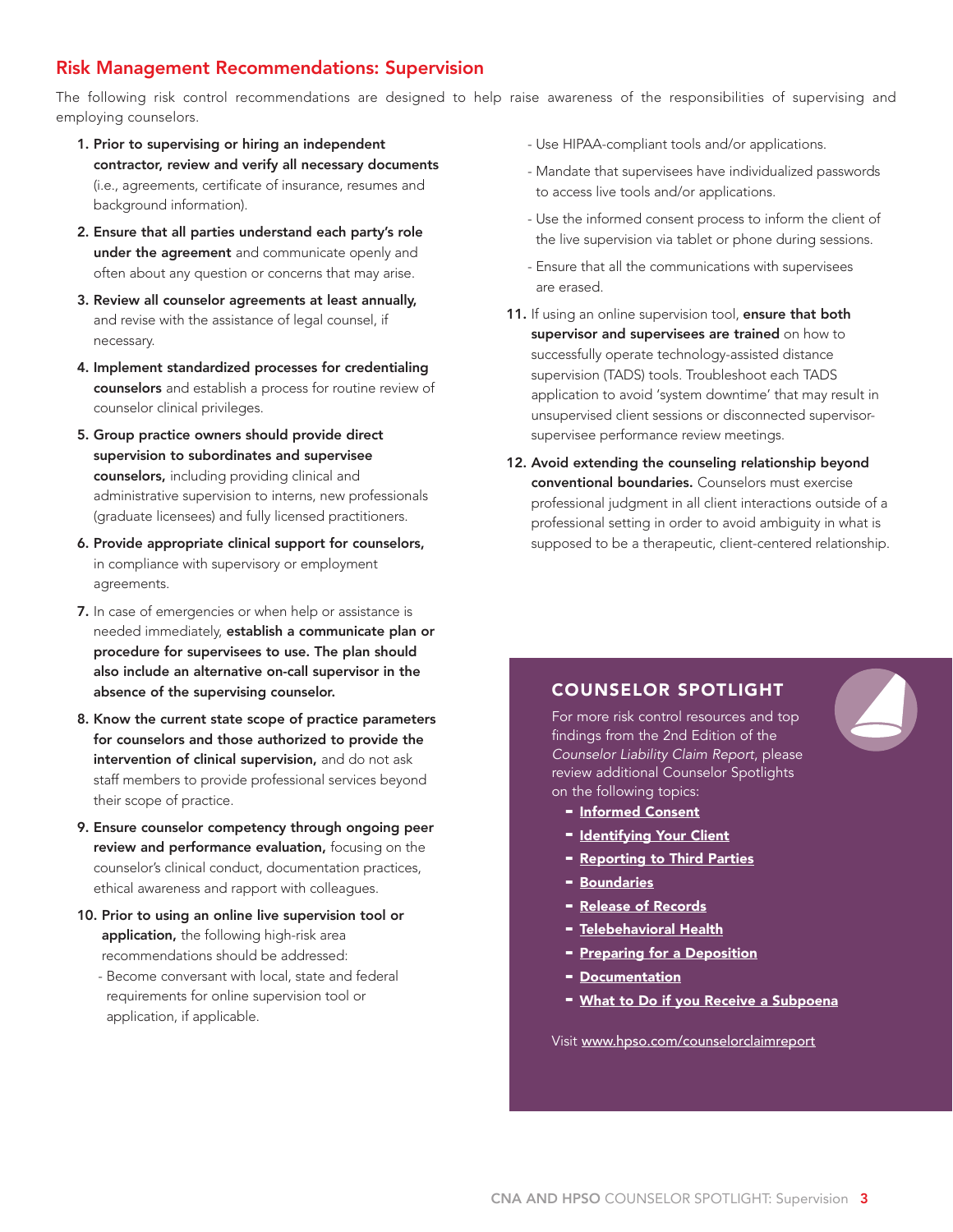# Risk Management Recommendations: Supervision

The following risk control recommendations are designed to help raise awareness of the responsibilities of supervising and employing counselors.

- 1. Prior to supervising or hiring an independent contractor, review and verify all necessary documents (i.e., agreements, certificate of insurance, resumes and background information).
- 2. Ensure that all parties understand each party's role under the agreement and communicate openly and often about any question or concerns that may arise.
- 3. Review all counselor agreements at least annually, and revise with the assistance of legal counsel, if necessary.
- 4. Implement standardized processes for credentialing counselors and establish a process for routine review of counselor clinical privileges.
- 5. Group practice owners should provide direct supervision to subordinates and supervisee counselors, including providing clinical and administrative supervision to interns, new professionals (graduate licensees) and fully licensed practitioners.
- 6. Provide appropriate clinical support for counselors, in compliance with supervisory or employment agreements.
- 7. In case of emergencies or when help or assistance is needed immediately, establish a communicate plan or procedure for supervisees to use. The plan should also include an alternative on-call supervisor in the absence of the supervising counselor.
- 8. Know the current state scope of practice parameters for counselors and those authorized to provide the intervention of clinical supervision, and do not ask staff members to provide professional services beyond their scope of practice.
- 9. Ensure counselor competency through ongoing peer review and performance evaluation, focusing on the counselor's clinical conduct, documentation practices, ethical awareness and rapport with colleagues.
- 10. Prior to using an online live supervision tool or application, the following high-risk area recommendations should be addressed:
	- Become conversant with local, state and federal requirements for online supervision tool or application, if applicable.
- Use HIPAA-compliant tools and/or applications.
- Mandate that supervisees have individualized passwords to access live tools and/or applications.
- Use the informed consent process to inform the client of the live supervision via tablet or phone during sessions.
- Ensure that all the communications with supervisees are erased.
- 11. If using an online supervision tool, ensure that both supervisor and supervisees are trained on how to successfully operate technology-assisted distance supervision (TADS) tools. Troubleshoot each TADS application to avoid 'system downtime' that may result in unsupervised client sessions or disconnected supervisorsupervisee performance review meetings.
- 12. Avoid extending the counseling relationship beyond conventional boundaries. Counselors must exercise professional judgment in all client interactions outside of a professional setting in order to avoid ambiguity in what is supposed to be a therapeutic, client-centered relationship.

## COUNSELOR SPOTLIGHT

For more risk control resources and top findings from the 2nd Edition of the *Counselor Liability Claim Report*, please review additional Counselor Spotlights on the following topics:

- [Informed Consent](http://www.hpso.com/counselorclaimreport_informedconsent)
- [Identifying Your Client](http://www.hpso.com/counselorclaimreport_client)
- [Reporting to Third Parties](http://www.hpso.com/counselorclaimreport_thirdparties)
- [Boundaries](http://www.hpso.com/counselorclaimreport_boundaries)
- [Release of Records](http://www.hpso.com/counselorclaimreport_records)
- [Telebehavioral Health](http://www.hpso.com/counselorclaimreport_telebehavioralhealth)
- [Preparing for a Deposition](http://www.hpso.com/counselorclaimreport_preparedepo)
- [Documentation](http://www.hpso.com/Documents/Risk%20Education/individuals/Claim-Reports/Counselor/F-13776-619_Documentation_Spotlight.pdf)
- [What to Do if you Receive a Subpoena](http://www.hpso.com/counselorclaimreport_subpoena)

Visit [www.hpso.com/counselorclaimreport](http://www.hpso.com/counselorclaimreport)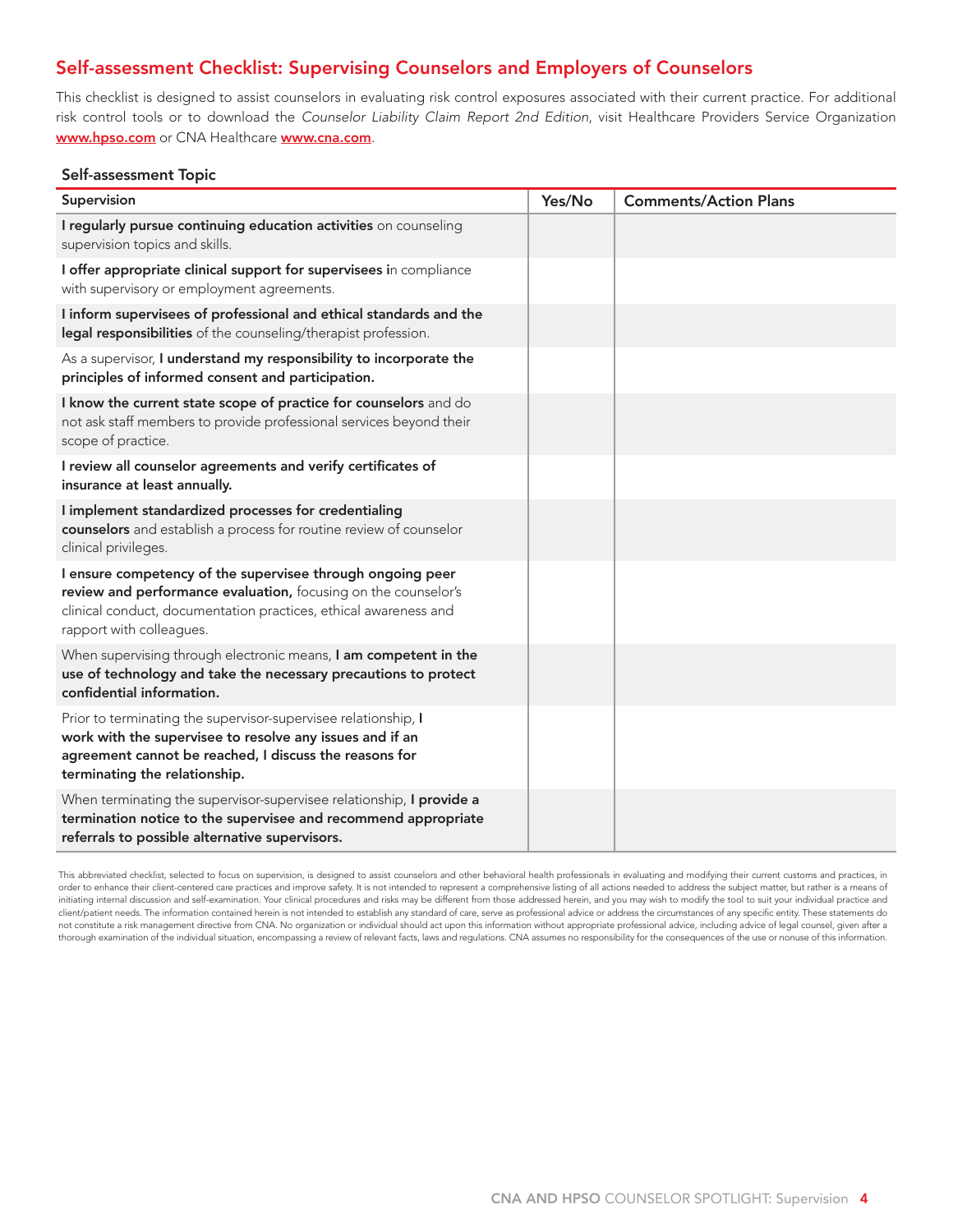# Self-assessment Checklist: Supervising Counselors and Employers of Counselors

This checklist is designed to assist counselors in evaluating risk control exposures associated with their current practice. For additional risk control tools or to download the *Counselor Liability Claim Report 2nd Edition*, visit Healthcare Providers Service Organization www.hpso.com or CNA Healthcare www.cna.com.

#### Self-assessment Topic

| Supervision                                                                                                                                                                                                                  | Yes/No | <b>Comments/Action Plans</b> |
|------------------------------------------------------------------------------------------------------------------------------------------------------------------------------------------------------------------------------|--------|------------------------------|
| I regularly pursue continuing education activities on counseling<br>supervision topics and skills.                                                                                                                           |        |                              |
| I offer appropriate clinical support for supervisees in compliance<br>with supervisory or employment agreements.                                                                                                             |        |                              |
| I inform supervisees of professional and ethical standards and the<br>legal responsibilities of the counseling/therapist profession.                                                                                         |        |                              |
| As a supervisor, I understand my responsibility to incorporate the<br>principles of informed consent and participation.                                                                                                      |        |                              |
| I know the current state scope of practice for counselors and do<br>not ask staff members to provide professional services beyond their<br>scope of practice.                                                                |        |                              |
| I review all counselor agreements and verify certificates of<br>insurance at least annually.                                                                                                                                 |        |                              |
| I implement standardized processes for credentialing<br>counselors and establish a process for routine review of counselor<br>clinical privileges.                                                                           |        |                              |
| I ensure competency of the supervisee through ongoing peer<br>review and performance evaluation, focusing on the counselor's<br>clinical conduct, documentation practices, ethical awareness and<br>rapport with colleagues. |        |                              |
| When supervising through electronic means, I am competent in the<br>use of technology and take the necessary precautions to protect<br>confidential information.                                                             |        |                              |
| Prior to terminating the supervisor-supervisee relationship, I<br>work with the supervisee to resolve any issues and if an<br>agreement cannot be reached, I discuss the reasons for<br>terminating the relationship.        |        |                              |
| When terminating the supervisor-supervisee relationship, I provide a<br>termination notice to the supervisee and recommend appropriate<br>referrals to possible alternative supervisors.                                     |        |                              |

This abbreviated checklist, selected to focus on supervision, is designed to assist counselors and other behavioral health professionals in evaluating and modifying their current customs and practices, in order to enhance their client-centered care practices and improve safety. It is not intended to represent a comprehensive listing of all actions needed to address the subject matter, but rather is a means of initiating internal discussion and self-examination. Your clinical procedures and risks may be different from those addressed herein, and you may wish to modify the tool to suit your individual practice and client/patient needs. The information contained herein is not intended to establish any standard of care, serve as professional advice or address the circumstances of any specific entity. These statements do not constitute a risk management directive from CNA. No organization or individual should act upon this information without appropriate professional advice, including advice of legal counsel, given after a thorough examination of the individual situation, encompassing a review of relevant facts, laws and regulations. CNA assumes no responsibility for the consequences of the use or nonuse of this information.